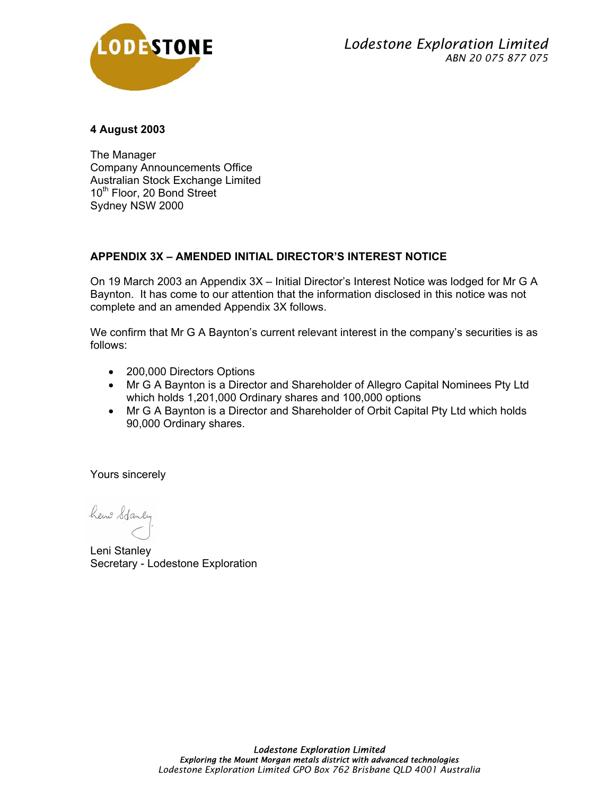

## **4 August 2003**

The Manager Company Announcements Office Australian Stock Exchange Limited 10<sup>th</sup> Floor, 20 Bond Street Sydney NSW 2000

# **APPENDIX 3X – AMENDED INITIAL DIRECTOR'S INTEREST NOTICE**

On 19 March 2003 an Appendix 3X – Initial Director's Interest Notice was lodged for Mr G A Baynton. It has come to our attention that the information disclosed in this notice was not complete and an amended Appendix 3X follows.

We confirm that Mr G A Baynton's current relevant interest in the company's securities is as follows:

- 200,000 Directors Options
- Mr G A Baynton is a Director and Shareholder of Allegro Capital Nominees Pty Ltd which holds 1,201,000 Ordinary shares and 100,000 options
- Mr G A Baynton is a Director and Shareholder of Orbit Capital Pty Ltd which holds 90,000 Ordinary shares.

Yours sincerely

hew Stanley

Leni Stanley Secretary - Lodestone Exploration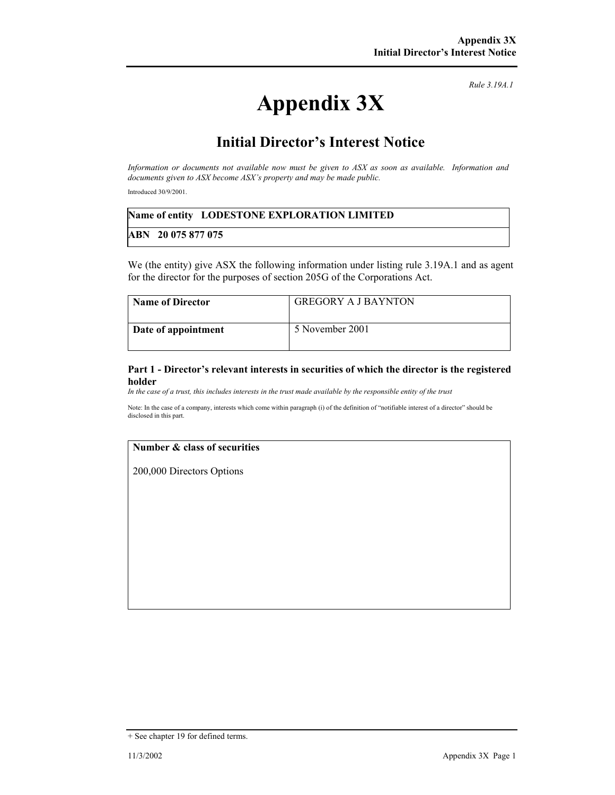*Rule 3.19A.1*

# **Appendix 3X**

# **Initial Director's Interest Notice**

*Information or documents not available now must be given to ASX as soon as available. Information and documents given to ASX become ASX's property and may be made public.* 

Introduced 30/9/2001.

### **Name of entity LODESTONE EXPLORATION LIMITED**

### **ABN 20 075 877 075**

We (the entity) give ASX the following information under listing rule 3.19A.1 and as agent for the director for the purposes of section 205G of the Corporations Act.

| <b>Name of Director</b> | <b>GREGORY A J BAYNTON</b> |
|-------------------------|----------------------------|
| Date of appointment     | 5 November 2001            |

#### **Part 1 - Director's relevant interests in securities of which the director is the registered holder**

*In the case of a trust, this includes interests in the trust made available by the responsible entity of the trust*

Note: In the case of a company, interests which come within paragraph (i) of the definition of "notifiable interest of a director" should be disclosed in this part.

#### **Number & class of securities**

200,000 Directors Options

<sup>+</sup> See chapter 19 for defined terms.